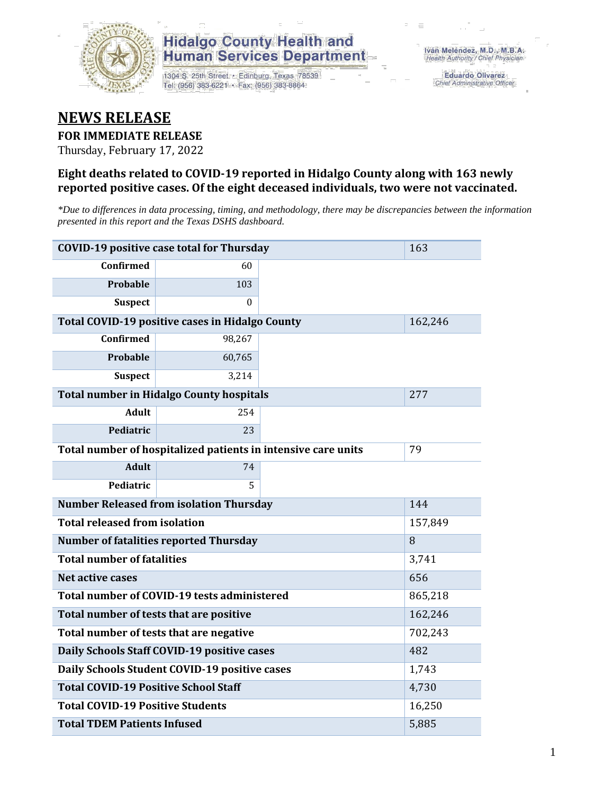

### **Hidalgo County Health and Human Services Department**

1304 S. 25th Street · Edinburg, Texas 78539 Tel: (956) 383-6221 · Fax: (956) 383-8864

**Eduardo Olivarez** Chief Administrative Officer

## **NEWS RELEASE**

### **FOR IMMEDIATE RELEASE**

Thursday, February 17, 2022

#### **Eight deaths related to COVID-19 reported in Hidalgo County along with 163 newly reported positive cases. Of the eight deceased individuals, two were not vaccinated.**

*\*Due to differences in data processing, timing, and methodology, there may be discrepancies between the information presented in this report and the Texas DSHS dashboard.*

| <b>COVID-19 positive case total for Thursday</b>              | 163                                             |         |         |  |  |  |
|---------------------------------------------------------------|-------------------------------------------------|---------|---------|--|--|--|
| <b>Confirmed</b>                                              | 60                                              |         |         |  |  |  |
| Probable                                                      | 103                                             |         |         |  |  |  |
| <b>Suspect</b>                                                | $\theta$                                        |         |         |  |  |  |
|                                                               | Total COVID-19 positive cases in Hidalgo County |         | 162,246 |  |  |  |
| <b>Confirmed</b>                                              | 98,267                                          |         |         |  |  |  |
| Probable                                                      | 60,765                                          |         |         |  |  |  |
| <b>Suspect</b>                                                | 3,214                                           |         |         |  |  |  |
|                                                               | <b>Total number in Hidalgo County hospitals</b> |         | 277     |  |  |  |
| <b>Adult</b>                                                  | 254                                             |         |         |  |  |  |
| <b>Pediatric</b>                                              | 23                                              |         |         |  |  |  |
| Total number of hospitalized patients in intensive care units | 79                                              |         |         |  |  |  |
| <b>Adult</b>                                                  | 74                                              |         |         |  |  |  |
| Pediatric                                                     | 5                                               |         |         |  |  |  |
| <b>Number Released from isolation Thursday</b><br>144         |                                                 |         |         |  |  |  |
| <b>Total released from isolation</b><br>157,849               |                                                 |         |         |  |  |  |
| <b>Number of fatalities reported Thursday</b>                 | 8                                               |         |         |  |  |  |
| <b>Total number of fatalities</b>                             | 3,741                                           |         |         |  |  |  |
| Net active cases                                              |                                                 | 656     |         |  |  |  |
| Total number of COVID-19 tests administered                   |                                                 | 865,218 |         |  |  |  |
| Total number of tests that are positive                       | 162,246                                         |         |         |  |  |  |
| Total number of tests that are negative                       | 702,243                                         |         |         |  |  |  |
| Daily Schools Staff COVID-19 positive cases                   | 482                                             |         |         |  |  |  |
| Daily Schools Student COVID-19 positive cases                 | 1,743                                           |         |         |  |  |  |
| <b>Total COVID-19 Positive School Staff</b>                   | 4,730                                           |         |         |  |  |  |
| <b>Total COVID-19 Positive Students</b>                       | 16,250                                          |         |         |  |  |  |
| <b>Total TDEM Patients Infused</b>                            | 5,885                                           |         |         |  |  |  |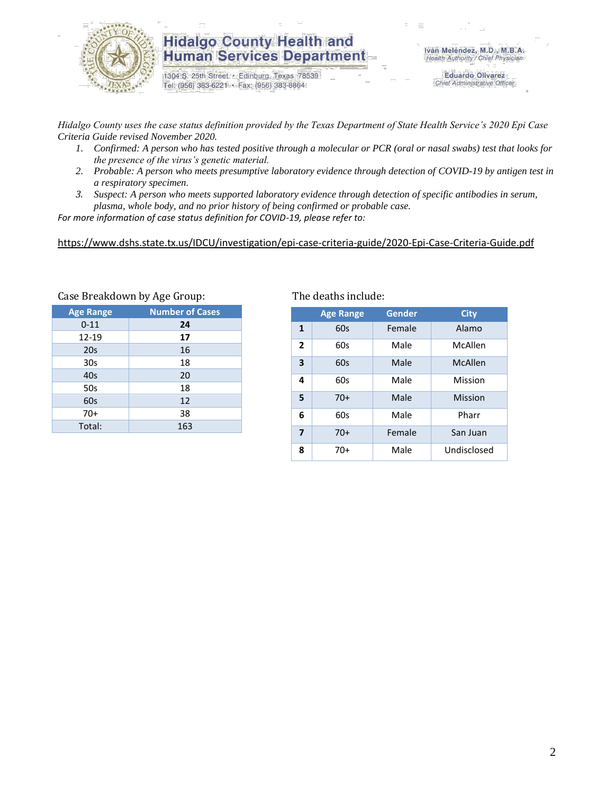

### **Hidalgo County Health and Human Services Department**

1304 S. 25th Street · Edinburg, Texas 78539 Tel: (956) 383-6221 · Fax: (956) 383-8864

**Eduardo Olivarez** Chief Administrative Officer

*Hidalgo County uses the case status definition provided by the Texas Department of State Health Service's 2020 Epi Case Criteria Guide revised November 2020.*

- *1. Confirmed: A person who has tested positive through a molecular or PCR (oral or nasal swabs) test that looks for the presence of the virus's genetic material.*
- *2. Probable: A person who meets presumptive laboratory evidence through detection of COVID-19 by antigen test in a respiratory specimen.*
- *3. Suspect: A person who meets supported laboratory evidence through detection of specific antibodies in serum, plasma, whole body, and no prior history of being confirmed or probable case.*

*For more information of case status definition for COVID-19, please refer to:*

<https://www.dshs.state.tx.us/IDCU/investigation/epi-case-criteria-guide/2020-Epi-Case-Criteria-Guide.pdf>

| <b>Age Range</b> | <b>Number of Cases</b> |
|------------------|------------------------|
| $0 - 11$         | 24                     |
| 12-19            | 17                     |
| 20s              | 16                     |
| 30 <sub>s</sub>  | 18                     |
| 40s              | 20                     |
| 50s              | 18                     |
| 60s              | 12                     |
| $70+$            | 38                     |
| Total:           | 163                    |
|                  |                        |

#### Case Breakdown by Age Group: The deaths include:

|                | <b>Age Range</b> | <b>Gender</b> | <b>City</b> |
|----------------|------------------|---------------|-------------|
| 1              | 60s              | Female        | Alamo       |
| $\overline{2}$ | 60s              | Male          | McAllen     |
| 3              | 60s              | Male          | McAllen     |
| 4              | 60s              | Male          | Mission     |
| 5              | $70+$            | Male          | Mission     |
| 6              | 60s              | Male          | Pharr       |
| $\overline{7}$ | $70+$            | Female        | San Juan    |
| 8              | $70+$            | Male          | Undisclosed |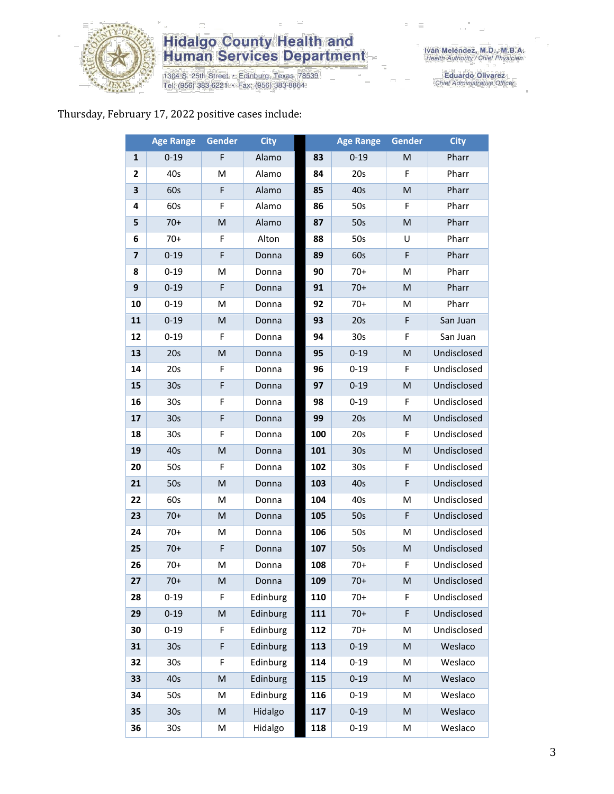

# **Hidalgo County Health and<br>Human Services Department**

1304 S. 25th Street • Edinburg, Texas 78539<br>Tel: (956) 383-6221 • Fax: (956) 383-8864

Eduardo Olivarez<br>Chief Administrative Officer

#### Thursday, February 17, 2022 positive cases include:

|              | <b>Age Range</b> | <b>Gender</b> | <b>City</b> |     | <b>Age Range</b> | Gender    | <b>City</b> |
|--------------|------------------|---------------|-------------|-----|------------------|-----------|-------------|
| $\mathbf{1}$ | $0 - 19$         | F             | Alamo       | 83  | $0 - 19$         | M         | Pharr       |
| 2            | 40s              | M             | Alamo       | 84  | 20s              | F         | Pharr       |
| 3            | 60s              | F             | Alamo       | 85  | 40s              | ${\sf M}$ | Pharr       |
| 4            | 60s              | F             | Alamo       | 86  | 50s              | F         | Pharr       |
| 5            | $70+$            | ${\sf M}$     | Alamo       | 87  | 50s              | ${\sf M}$ | Pharr       |
| 6            | $70+$            | F             | Alton       | 88  | 50s              | U         | Pharr       |
| 7            | $0 - 19$         | $\mathsf F$   | Donna       | 89  | 60s              | F         | Pharr       |
| 8            | $0 - 19$         | M             | Donna       | 90  | $70+$            | M         | Pharr       |
| 9            | $0 - 19$         | F             | Donna       | 91  | $70+$            | M         | Pharr       |
| 10           | $0 - 19$         | M             | Donna       | 92  | $70+$            | M         | Pharr       |
| 11           | $0 - 19$         | ${\sf M}$     | Donna       | 93  | 20s              | F         | San Juan    |
| 12           | $0 - 19$         | F             | Donna       | 94  | 30 <sub>s</sub>  | F         | San Juan    |
| 13           | 20s              | ${\sf M}$     | Donna       | 95  | $0 - 19$         | M         | Undisclosed |
| 14           | 20s              | F             | Donna       | 96  | $0 - 19$         | F         | Undisclosed |
| 15           | 30 <sub>s</sub>  | F             | Donna       | 97  | $0 - 19$         | M         | Undisclosed |
| 16           | 30s              | F             | Donna       | 98  | $0 - 19$         | F         | Undisclosed |
| 17           | 30 <sub>s</sub>  | F             | Donna       | 99  | 20s              | ${\sf M}$ | Undisclosed |
| 18           | 30 <sub>s</sub>  | F             | Donna       | 100 | 20s              | F         | Undisclosed |
| 19           | 40s              | M             | Donna       | 101 | 30 <sub>s</sub>  | M         | Undisclosed |
| 20           | 50s              | F             | Donna       | 102 | 30 <sub>s</sub>  | F         | Undisclosed |
| 21           | 50s              | ${\sf M}$     | Donna       | 103 | 40s              | F         | Undisclosed |
| 22           | 60s              | M             | Donna       | 104 | 40s              | M         | Undisclosed |
| 23           | $70+$            | M             | Donna       | 105 | 50s              | F         | Undisclosed |
| 24           | $70+$            | M             | Donna       | 106 | 50s              | M         | Undisclosed |
| 25           | $70+$            | F             | Donna       | 107 | 50s              | M         | Undisclosed |
| 26           | $70+$            | M             | Donna       | 108 | $70+$            | F         | Undisclosed |
| 27           | $70+$            | M             | Donna       | 109 | $70+$            | M         | Undisclosed |
| 28           | $0 - 19$         | F             | Edinburg    | 110 | $70+$            | F         | Undisclosed |
| 29           | $0 - 19$         | ${\sf M}$     | Edinburg    | 111 | $70+$            | F         | Undisclosed |
| 30           | $0 - 19$         | F             | Edinburg    | 112 | $70+$            | M         | Undisclosed |
| 31           | 30 <sub>s</sub>  | F             | Edinburg    | 113 | $0 - 19$         | M         | Weslaco     |
| 32           | 30s              | F             | Edinburg    | 114 | $0 - 19$         | M         | Weslaco     |
| 33           | 40s              | ${\sf M}$     | Edinburg    | 115 | $0 - 19$         | M         | Weslaco     |
| 34           | 50s              | M             | Edinburg    | 116 | $0 - 19$         | M         | Weslaco     |
| 35           | 30 <sub>s</sub>  | M             | Hidalgo     | 117 | $0 - 19$         | M         | Weslaco     |
| 36           | 30s              | M             | Hidalgo     | 118 | $0 - 19$         | $\sf M$   | Weslaco     |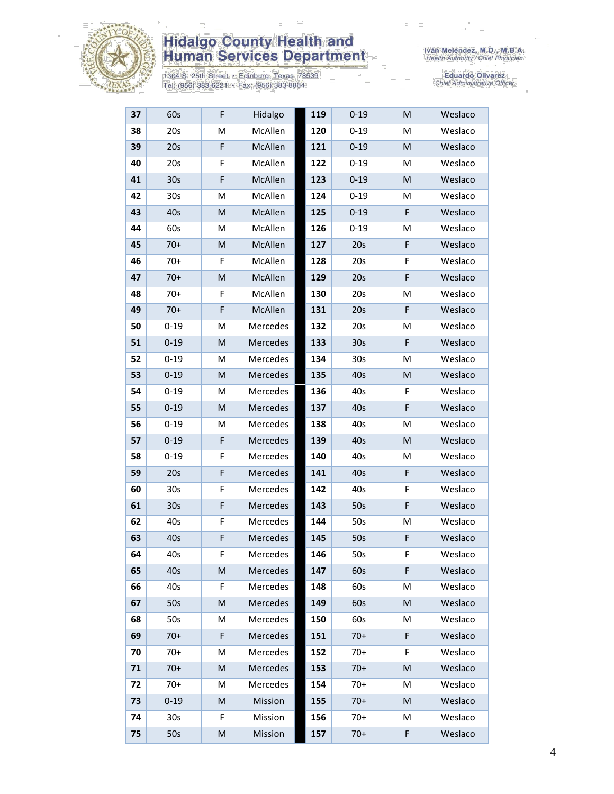

# **Hidalgo County Health and<br>Human Services Department**

1304 S. 25th Street • Edinburg, Texas 78539<br>Tel: (956) 383-6221 • Fax: (956) 383-8864

Eduardo Olivarez<br>Chief Administrative Officer

| 37 | 60s             | F         | Hidalgo  | 119 | $0 - 19$        | M           | Weslaco |
|----|-----------------|-----------|----------|-----|-----------------|-------------|---------|
| 38 | 20s             | M         | McAllen  | 120 | $0 - 19$        | M           | Weslaco |
| 39 | 20s             | F         | McAllen  | 121 | $0 - 19$        | M           | Weslaco |
| 40 | 20s             | F         | McAllen  | 122 | $0 - 19$        | M           | Weslaco |
| 41 | 30 <sub>s</sub> | F         | McAllen  | 123 | $0 - 19$        | M           | Weslaco |
| 42 | 30 <sub>s</sub> | M         | McAllen  | 124 | $0 - 19$        | м           | Weslaco |
| 43 | 40s             | M         | McAllen  | 125 | $0 - 19$        | F           | Weslaco |
| 44 | 60s             | M         | McAllen  | 126 | $0 - 19$        | M           | Weslaco |
| 45 | $70+$           | M         | McAllen  | 127 | 20s             | F           | Weslaco |
| 46 | $70+$           | F         | McAllen  | 128 | 20s             | F           | Weslaco |
| 47 | $70+$           | M         | McAllen  | 129 | 20s             | F           | Weslaco |
| 48 | $70+$           | F         | McAllen  | 130 | 20s             | M           | Weslaco |
| 49 | $70+$           | F         | McAllen  | 131 | 20s             | F           | Weslaco |
| 50 | $0 - 19$        | M         | Mercedes | 132 | 20s             | M           | Weslaco |
| 51 | $0 - 19$        | M         | Mercedes | 133 | 30 <sub>s</sub> | F           | Weslaco |
| 52 | $0 - 19$        | M         | Mercedes | 134 | 30 <sub>s</sub> | M           | Weslaco |
| 53 | $0 - 19$        | M         | Mercedes | 135 | 40s             | M           | Weslaco |
| 54 | $0 - 19$        | M         | Mercedes | 136 | 40s             | F           | Weslaco |
| 55 | $0 - 19$        | ${\sf M}$ | Mercedes | 137 | 40s             | F           | Weslaco |
| 56 | $0 - 19$        | M         | Mercedes | 138 | 40s             | M           | Weslaco |
| 57 | $0 - 19$        | F         | Mercedes | 139 | 40s             | M           | Weslaco |
| 58 | $0 - 19$        | F         | Mercedes | 140 | 40s             | M           | Weslaco |
| 59 | 20s             | F         | Mercedes | 141 | 40s             | $\mathsf F$ | Weslaco |
| 60 | 30 <sub>s</sub> | F         | Mercedes | 142 | 40s             | F           | Weslaco |
| 61 | 30 <sub>s</sub> | F         | Mercedes | 143 | 50s             | F           | Weslaco |
| 62 | 40s             | F         | Mercedes | 144 | 50s             | M           | Weslaco |
| 63 | 40s             | F         | Mercedes | 145 | 50s             | F           | Weslaco |
| 64 | 40s             | F         | Mercedes | 146 | 50s             | F           | Weslaco |
| 65 | 40s             | M         | Mercedes | 147 | 60s             | F           | Weslaco |
| 66 | 40s             | F         | Mercedes | 148 | 60s             | М           | Weslaco |
| 67 | 50s             | M         | Mercedes | 149 | 60s             | M           | Weslaco |
| 68 | 50s             | M         | Mercedes | 150 | 60s             | M           | Weslaco |
| 69 | $70+$           | F         | Mercedes | 151 | $70+$           | F           | Weslaco |
| 70 | $70+$           | M         | Mercedes | 152 | $70+$           | F           | Weslaco |
| 71 | $70+$           | ${\sf M}$ | Mercedes | 153 | $70+$           | M           | Weslaco |
| 72 | $70+$           | M         | Mercedes | 154 | $70+$           | M           | Weslaco |
| 73 | $0 - 19$        | M         | Mission  | 155 | $70+$           | M           | Weslaco |
| 74 | 30 <sub>s</sub> | F         | Mission  | 156 | $70+$           | M           | Weslaco |
| 75 | 50s             | ${\sf M}$ | Mission  | 157 | $70+$           | F           | Weslaco |